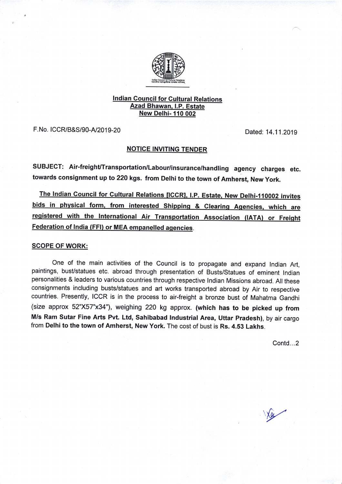

## **Indian Council for Cultural Relations<br>Azad Bhawan, I.P. Estate** New Delhi- 110 002

F. No. ICCR/B&S/90-A/2019-20 Dated: 14.11.2019

## NOTICE INVITING TENDER

SUBJECT: Air-freight/Transportation/Labour/insurance/handling agency charges etc. towards consignment up to 220 kgs. from Delhi to the town of Amherst, New york.

The Indian Council for Cultural Relations [ICCR], I.P. Estate, New Delhi-110002 invites bids in physical form, from interested Shipping & Clearing Agencies, which are registered with the International Air Transportation Association (IATA) or Freight Federation of lndia (FFl) or MEA empanelled aqencies.

## SCOPE OF WORK:

One of the main activities of the Council is to propagate and expand Indian Art, paintings, bust/statues etc. abroad through presentation of Busts/Statues of eminent Indian personalities & leaders to various countries through respective Indian Missions abroad. All these consignments including busts/statues and art works transported abroad by Air to respective countries. Presently, ICCR is in the process to air-freight a bronze bust of Mahatma Gandhi (size approx 52'x57"x34"), weighing 220 kg approx. (which has to be picked up from M/s Ram Sutar Fine Arts Pvt. Ltd, Sahibabad lndustrial Area, Uttar Pradesh), by air cargo from Delhi to the town of Amherst, New York. The cost of bust is Rs. 4.53 Lakhs.

Contd...2